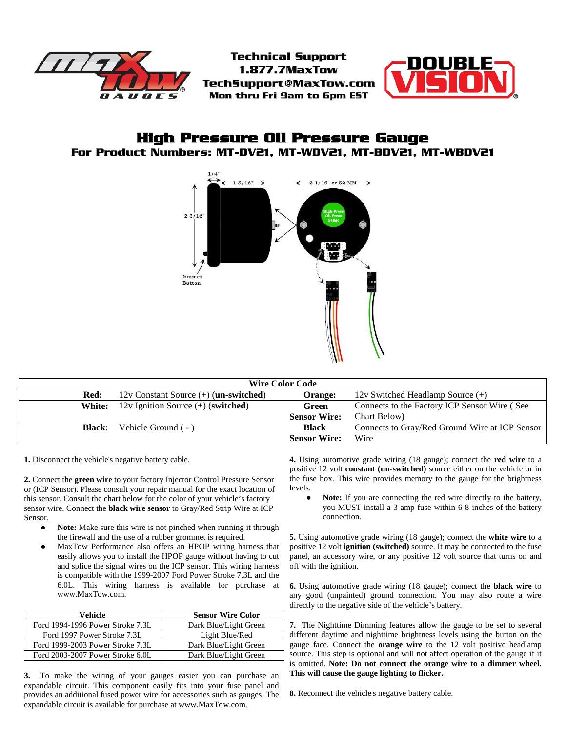

**Technical Support** 1.877.7MaxTow Tech5upport@MaxTow.com Mon thru Fri 9am to 6pm EST



# **High Pressure Oil Pressure Gauge For Product Numbers: MT-DV21, MT-WDV21, MT-BDV21, MT-WBDV21**



| <b>Wire Color Code</b> |                                                    |                     |                                                |
|------------------------|----------------------------------------------------|---------------------|------------------------------------------------|
| Red:                   | $12v$ Constant Source $(+)$ ( <b>un-switched</b> ) | Orange:             | 12v Switched Headlamp Source $(+)$             |
| White:                 | $12v$ Ignition Source $(+)$ (switched)             | Green               | Connects to the Factory ICP Sensor Wire (See   |
|                        |                                                    | <b>Sensor Wire:</b> | Chart Below)                                   |
| <b>Black:</b>          | Vehicle Ground (-)                                 | <b>Black</b>        | Connects to Gray/Red Ground Wire at ICP Sensor |
|                        |                                                    | <b>Sensor Wire:</b> | Wire                                           |

**1.** Disconnect the vehicle's negative battery cable.

**2.** Connect the **green wire** to your factory Injector Control Pressure Sensor or (ICP Sensor). Please consult your repair manual for the exact location of this sensor. Consult the chart below for the color of your vehicle's factory sensor wire. Connect the **black wire sensor** to Gray/Red Strip Wire at ICP Sensor.

- **Note:** Make sure this wire is not pinched when running it through the firewall and the use of a rubber grommet is required.
- MaxTow Performance also offers an HPOP wiring harness that easily allows you to install the HPOP gauge without having to cut and splice the signal wires on the ICP sensor. This wiring harness is compatible with the 1999-2007 Ford Power Stroke 7.3L and the 6.0L. This wiring harness is available for purchase at www.MaxTow.com.

| Vehicle                          | <b>Sensor Wire Color</b> |
|----------------------------------|--------------------------|
| Ford 1994-1996 Power Stroke 7.3L | Dark Blue/Light Green    |
| Ford 1997 Power Stroke 7.3L      | Light Blue/Red           |
| Ford 1999-2003 Power Stroke 7.3L | Dark Blue/Light Green    |
| Ford 2003-2007 Power Stroke 6.0L | Dark Blue/Light Green    |

**3.** To make the wiring of your gauges easier you can purchase an expandable circuit. This component easily fits into your fuse panel and provides an additional fused power wire for accessories such as gauges. The expandable circuit is available for purchase at www.MaxTow.com.

**4.** Using automotive grade wiring (18 gauge); connect the **red wire** to a positive 12 volt **constant (un-switched)** source either on the vehicle or in the fuse box. This wire provides memory to the gauge for the brightness levels.

Note: If you are connecting the red wire directly to the battery, you MUST install a 3 amp fuse within 6-8 inches of the battery connection.

**5.** Using automotive grade wiring (18 gauge); connect the **white wire** to a positive 12 volt **ignition (switched)** source. It may be connected to the fuse panel, an accessory wire, or any positive 12 volt source that turns on and off with the ignition.

**6.** Using automotive grade wiring (18 gauge); connect the **black wire** to any good (unpainted) ground connection. You may also route a wire directly to the negative side of the vehicle's battery.

**7.** The Nighttime Dimming features allow the gauge to be set to several different daytime and nighttime brightness levels using the button on the gauge face. Connect the **orange wire** to the 12 volt positive headlamp source. This step is optional and will not affect operation of the gauge if it is omitted. **Note: Do not connect the orange wire to a dimmer wheel. This will cause the gauge lighting to flicker.**

**8.** Reconnect the vehicle's negative battery cable.